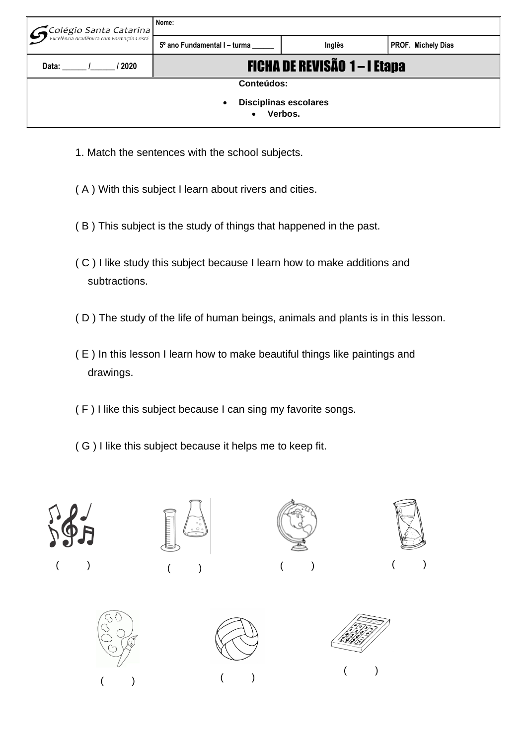| $\left  {\cal G}$ Colégio Santa Catarina | Nome:                             |        |                    |  |  |  |  |  |
|------------------------------------------|-----------------------------------|--------|--------------------|--|--|--|--|--|
|                                          | 5° ano Fundamental I - turma      | Inglês | PROF. Michely Dias |  |  |  |  |  |
| Data:<br>2020                            | <b>FICHA DE REVISÃO 1-1 Etapa</b> |        |                    |  |  |  |  |  |
| <b>Conteúdos:</b>                        |                                   |        |                    |  |  |  |  |  |
| <b>Disciplinas escolares</b><br>٠        |                                   |        |                    |  |  |  |  |  |
| Verbos.                                  |                                   |        |                    |  |  |  |  |  |

- 1. Match the sentences with the school subjects.
- ( A ) With this subject I learn about rivers and cities.
- ( B ) This subject is the study of things that happened in the past.
- ( C ) I like study this subject because I learn how to make additions and subtractions.
- ( D ) The study of the life of human beings, animals and plants is in this lesson.
- ( E ) In this lesson I learn how to make beautiful things like paintings and drawings.
- ( F ) I like this subject because I can sing my favorite songs.
- ( G ) I like this subject because it helps me to keep fit.